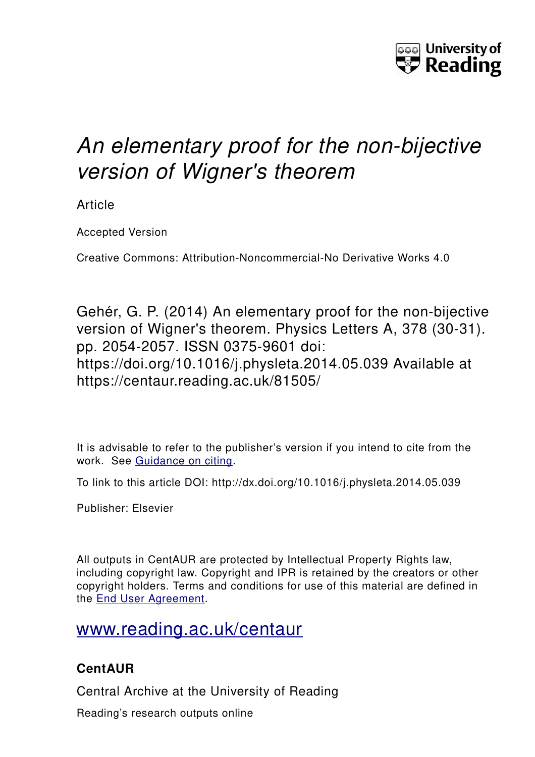

# *An elementary proof for the non-bijective version of Wigner's theorem*

Article

Accepted Version

Creative Commons: Attribution-Noncommercial-No Derivative Works 4.0

Gehér, G. P. (2014) An elementary proof for the non-bijective version of Wigner's theorem. Physics Letters A, 378 (30-31). pp. 2054-2057. ISSN 0375-9601 doi: https://doi.org/10.1016/j.physleta.2014.05.039 Available at https://centaur.reading.ac.uk/81505/

It is advisable to refer to the publisher's version if you intend to cite from the work. See [Guidance on citing.](http://centaur.reading.ac.uk/71187/10/CentAUR%20citing%20guide.pdf)

To link to this article DOI: http://dx.doi.org/10.1016/j.physleta.2014.05.039

Publisher: Elsevier

All outputs in CentAUR are protected by Intellectual Property Rights law, including copyright law. Copyright and IPR is retained by the creators or other copyright holders. Terms and conditions for use of this material are defined in the [End User Agreement.](http://centaur.reading.ac.uk/licence)

## [www.reading.ac.uk/centaur](http://www.reading.ac.uk/centaur)

### **CentAUR**

Central Archive at the University of Reading

Reading's research outputs online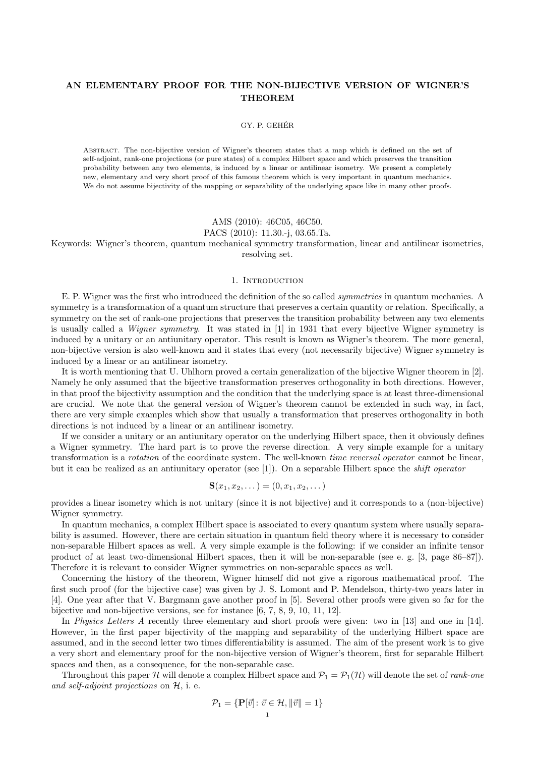#### AN ELEMENTARY PROOF FOR THE NON-BIJECTIVE VERSION OF WIGNER'S THEOREM

#### GY. P. GEHÉR

Abstract. The non-bijective version of Wigner's theorem states that a map which is defined on the set of self-adjoint, rank-one projections (or pure states) of a complex Hilbert space and which preserves the transition probability between any two elements, is induced by a linear or antilinear isometry. We present a completely new, elementary and very short proof of this famous theorem which is very important in quantum mechanics. We do not assume bijectivity of the mapping or separability of the underlying space like in many other proofs.

#### AMS (2010): 46C05, 46C50.

#### PACS (2010): 11.30.-j, 03.65.Ta.

Keywords: Wigner's theorem, quantum mechanical symmetry transformation, linear and antilinear isometries, resolving set.

#### 1. INTRODUCTION

E. P. Wigner was the first who introduced the definition of the so called symmetries in quantum mechanics. A symmetry is a transformation of a quantum structure that preserves a certain quantity or relation. Specifically, a symmetry on the set of rank-one projections that preserves the transition probability between any two elements is usually called a Wigner symmetry. It was stated in [1] in 1931 that every bijective Wigner symmetry is induced by a unitary or an antiunitary operator. This result is known as Wigner's theorem. The more general, non-bijective version is also well-known and it states that every (not necessarily bijective) Wigner symmetry is induced by a linear or an antilinear isometry.

It is worth mentioning that U. Uhlhorn proved a certain generalization of the bijective Wigner theorem in [2]. Namely he only assumed that the bijective transformation preserves orthogonality in both directions. However, in that proof the bijectivity assumption and the condition that the underlying space is at least three-dimensional are crucial. We note that the general version of Wigner's theorem cannot be extended in such way, in fact, there are very simple examples which show that usually a transformation that preserves orthogonality in both directions is not induced by a linear or an antilinear isometry.

If we consider a unitary or an antiunitary operator on the underlying Hilbert space, then it obviously defines a Wigner symmetry. The hard part is to prove the reverse direction. A very simple example for a unitary transformation is a rotation of the coordinate system. The well-known time reversal operator cannot be linear, but it can be realized as an antiunitary operator (see [1]). On a separable Hilbert space the shift operator

$$
\mathbf{S}(x_1, x_2, \dots) = (0, x_1, x_2, \dots)
$$

provides a linear isometry which is not unitary (since it is not bijective) and it corresponds to a (non-bijective) Wigner symmetry.

In quantum mechanics, a complex Hilbert space is associated to every quantum system where usually separability is assumed. However, there are certain situation in quantum field theory where it is necessary to consider non-separable Hilbert spaces as well. A very simple example is the following: if we consider an infinite tensor product of at least two-dimensional Hilbert spaces, then it will be non-separable (see e. g. [3, page 86–87]). Therefore it is relevant to consider Wigner symmetries on non-separable spaces as well.

Concerning the history of the theorem, Wigner himself did not give a rigorous mathematical proof. The first such proof (for the bijective case) was given by J. S. Lomont and P. Mendelson, thirty-two years later in [4]. One year after that V. Bargmann gave another proof in [5]. Several other proofs were given so far for the bijective and non-bijective versions, see for instance [6, 7, 8, 9, 10, 11, 12].

In *Physics Letters A* recently three elementary and short proofs were given: two in [13] and one in [14]. However, in the first paper bijectivity of the mapping and separability of the underlying Hilbert space are assumed, and in the second letter two times differentiability is assumed. The aim of the present work is to give a very short and elementary proof for the non-bijective version of Wigner's theorem, first for separable Hilbert spaces and then, as a consequence, for the non-separable case.

Throughout this paper H will denote a complex Hilbert space and  $\mathcal{P}_1 = \mathcal{P}_1(\mathcal{H})$  will denote the set of *rank-one* and self-adjoint projections on H, i. e.

$$
\mathcal{P}_1 = \{ \mathbf{P}[\vec{v}] \colon \vec{v} \in \mathcal{H}, \|\vec{v}\| = 1 \}
$$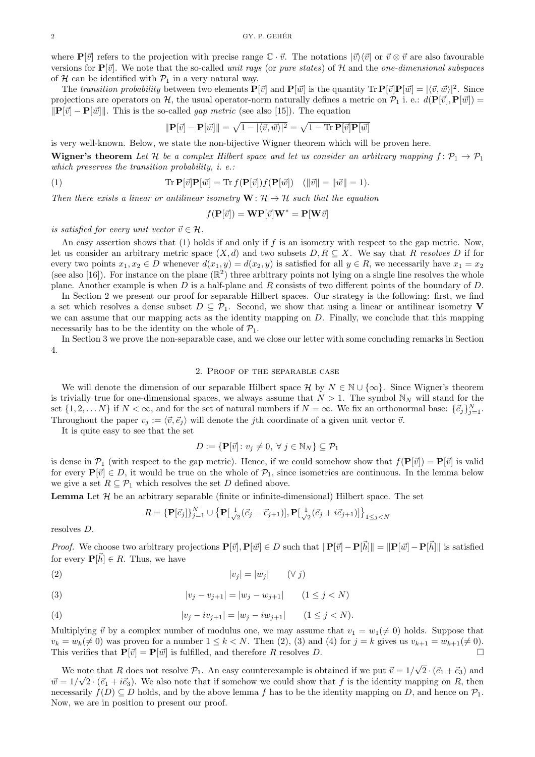where  $\mathbf{P}[\vec{v}]$  refers to the projection with precise range  $\mathbb{C} \cdot \vec{v}$ . The notations  $|\vec{v}\rangle\langle\vec{v}|$  or  $\vec{v} \otimes \vec{v}$  are also favourable versions for  $\mathbf{P}[\vec{v}]$ . We note that the so-called *unit rays* (or *pure states*) of H and the *one-dimensional subspaces* of  $H$  can be identified with  $P_1$  in a very natural way.

The transition probability between two elements  $P[\vec{v}]$  and  $P[\vec{w}]$  is the quantity  $\text{Tr } P[\vec{v}]P[\vec{w}] = |\langle \vec{v}, \vec{w} \rangle|^2$ . Since projections are operators on H, the usual operator-norm naturally defines a metric on  $\mathcal{P}_1$  i. e.:  $d(\mathbf{P}[\vec{v}], \mathbf{P}[\vec{w}]) =$  $\|\mathbf{P}[\vec{v}] - \mathbf{P}[\vec{w}]\|$ . This is the so-called *gap metric* (see also [15]). The equation

$$
\|\mathbf{P}[\vec{v}] - \mathbf{P}[\vec{w}]\| = \sqrt{1 - |\langle \vec{v}, \vec{w} \rangle|^2} = \sqrt{1 - \text{Tr}\,\mathbf{P}[\vec{v}]\mathbf{P}[\vec{w}]}
$$

is very well-known. Below, we state the non-bijective Wigner theorem which will be proven here.

**Wigner's theorem** Let H be a complex Hilbert space and let us consider an arbitrary mapping  $f: \mathcal{P}_1 \to \mathcal{P}_1$ which preserves the transition probability, *i. e.*:

(1) 
$$
\operatorname{Tr} \mathbf{P}[\vec{v}] \mathbf{P}[\vec{w}] = \operatorname{Tr} f(\mathbf{P}[\vec{v}]) f(\mathbf{P}[\vec{w}]) \quad (\|\vec{v}\| = \|\vec{w}\| = 1).
$$

Then there exists a linear or antilinear isometry  $\mathbf{W} : \mathcal{H} \to \mathcal{H}$  such that the equation

$$
f(\mathbf{P}[\vec{v}]) = \mathbf{W} \mathbf{P}[\vec{v}] \mathbf{W}^* = \mathbf{P}[\mathbf{W}\vec{v}]
$$

is satisfied for every unit vector  $\vec{v} \in \mathcal{H}$ .

An easy assertion shows that  $(1)$  holds if and only if f is an isometry with respect to the gap metric. Now, let us consider an arbitrary metric space  $(X, d)$  and two subsets  $D, R \subseteq X$ . We say that R resolves D if for every two points  $x_1, x_2 \in D$  whenever  $d(x_1, y) = d(x_2, y)$  is satisfied for all  $y \in R$ , we necessarily have  $x_1 = x_2$ (see also [16]). For instance on the plane  $(\mathbb{R}^2)$  three arbitrary points not lying on a single line resolves the whole plane. Another example is when D is a half-plane and R consists of two different points of the boundary of D.

In Section 2 we present our proof for separable Hilbert spaces. Our strategy is the following: first, we find a set which resolves a dense subset  $D \subseteq \mathcal{P}_1$ . Second, we show that using a linear or antilinear isometry V we can assume that our mapping acts as the identity mapping on D. Finally, we conclude that this mapping necessarily has to be the identity on the whole of  $\mathcal{P}_1$ .

In Section 3 we prove the non-separable case, and we close our letter with some concluding remarks in Section 4.

#### 2. Proof of the separable case

We will denote the dimension of our separable Hilbert space  $\mathcal{H}$  by  $N \in \mathbb{N} \cup \{\infty\}$ . Since Wigner's theorem is trivially true for one-dimensional spaces, we always assume that  $N > 1$ . The symbol  $\mathbb{N}_N$  will stand for the set  $\{1, 2, ..., N\}$  if  $N < \infty$ , and for the set of natural numbers if  $N = \infty$ . We fix an orthonormal base:  $\{\vec{e}_j\}_{j=1}^N$ . Throughout the paper  $v_j := \langle \vec{v}, \vec{e}_j \rangle$  will denote the jth coordinate of a given unit vector  $\vec{v}$ .

It is quite easy to see that the set

$$
D := \{ \mathbf{P}[\vec{v}] \colon v_j \neq 0, \ \forall \ j \in \mathbb{N}_N \} \subseteq \mathcal{P}_1
$$

is dense in  $\mathcal{P}_1$  (with respect to the gap metric). Hence, if we could somehow show that  $f(\mathbf{P}[\vec{v}]) = \mathbf{P}[\vec{v}]$  is valid for every  $P[\vec{v}] \in D$ , it would be true on the whole of  $\mathcal{P}_1$ , since isometries are continuous. In the lemma below we give a set  $R \subseteq \mathcal{P}_1$  which resolves the set D defined above.

**Lemma** Let  $\mathcal{H}$  be an arbitrary separable (finite or infinite-dimensional) Hilbert space. The set

$$
R = \{ \mathbf{P}[\vec{e}_j] \}_{j=1}^N \cup \{ \mathbf{P}[\frac{1}{\sqrt{2}}(\vec{e}_j - \vec{e}_{j+1})], \mathbf{P}[\frac{1}{\sqrt{2}}(\vec{e}_j + i\vec{e}_{j+1})] \}_{1 \leq j < N}
$$

resolves D.

*Proof.* We choose two arbitrary projections  $P[\vec{v}], P[\vec{w}] \in D$  such that  $\|\mathbf{P}[\vec{v}] - \mathbf{P}[\vec{h}]\| = \|\mathbf{P}[\vec{w}] - \mathbf{P}[\vec{h}]\|$  is satisfied for every  $\mathbf{P}[\vec{h}] \in R$ . Thus, we have

$$
|v_j| = |w_j| \qquad (\forall \ j)
$$

(3) 
$$
|v_j - v_{j+1}| = |w_j - w_{j+1}| \qquad (1 \le j < N)
$$

(4) 
$$
|v_j - iv_{j+1}| = |w_j - iw_{j+1}| \qquad (1 \le j < N).
$$

Multiplying  $\vec{v}$  by a complex number of modulus one, we may assume that  $v_1 = w_1(\neq 0)$  holds. Suppose that  $v_k = w_k(\neq 0)$  was proven for a number  $1 \leq k < N$ . Then (2), (3) and (4) for  $j = k$  gives us  $v_{k+1} = w_{k+1}(\neq 0)$ . This verifies that  $\mathbf{P}[\vec{v}] = \mathbf{P}[\vec{w}]$  is fulfilled, and therefore R resolves D.

We note that R does not resolve  $P_1$ . An easy counterexample is obtained if we put  $\vec{v} = 1/2$ √ note that R does not resolve  $\mathcal{P}_1$ . An easy counterexample is obtained if we put  $\vec{v} = 1/\sqrt{2} \cdot (\vec{e}_1 + \vec{e}_3)$  and  $\vec{w} = 1/\sqrt{2 \cdot (\vec{e_1} + i\vec{e_3})}$ . We also note that if somehow we could show that f is the identity mapping on R, then necessarily  $f(D) \subseteq D$  holds, and by the above lemma f has to be the identity mapping on D, and hence on  $\mathcal{P}_1$ . Now, we are in position to present our proof.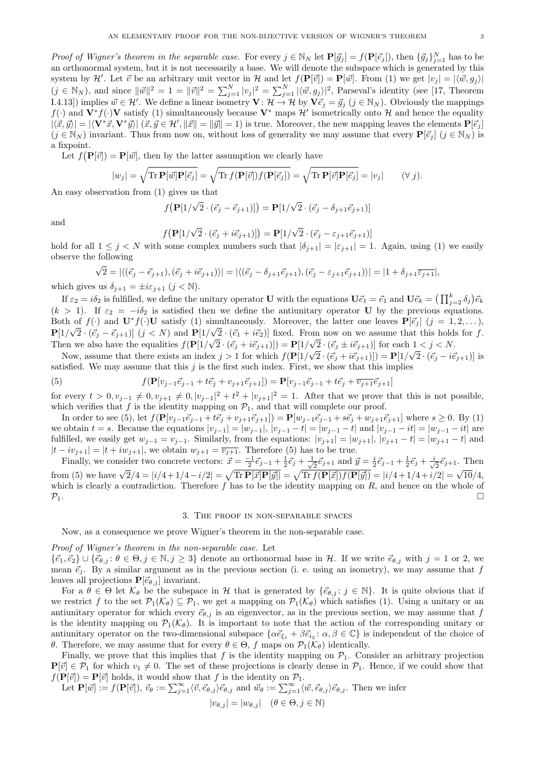Proof of Wigner's theorem in the separable case. For every  $j \in \mathbb{N}_N$  let  $\mathbf{P}[\vec{g}_j] = f(\mathbf{P}[\vec{e}_j])$ , then  $\{\vec{g}_j\}_{j=1}^N$  has to be an orthonormal system, but it is not necessarily a base. We will denote the subspace which is generated by this system by H'. Let  $\vec{v}$  be an arbitrary unit vector in H and let  $f(\mathbf{P}[\vec{v}]) = \mathbf{P}[\vec{w}]$ . From (1) we get  $|v_j| = |\langle \vec{w}, g_j \rangle|$  $(j \in \mathbb{N}_N)$ , and since  $\|\vec{w}\|^2 = 1 = \|\vec{v}\|^2 = \sum_{j=1}^N |v_j|^2 = \sum_{j=1}^N |\langle \vec{w}, g_j \rangle|^2$ , Parseval's identity (see [17, Theorem I.4.13]) implies  $\vec{w} \in \mathcal{H}'$ . We define a linear isometry  $\mathbf{V} : \mathcal{H} \to \mathcal{H}$  by  $\mathbf{V} \vec{e}_j = \vec{g}_j$   $(j \in \mathbb{N}_N)$ . Obviously the mappings  $f(\cdot)$  and  $V^*f(\cdot)V$  satisfy (1) simultaneously because  $V^*$  maps  $\mathcal{H}'$  isometrically onto H and hence the equality  $|\langle \vec{x}, \vec{y} \rangle| = |\langle V^* \vec{x}, V^* \vec{y} \rangle| \ (\vec{x}, \vec{y} \in \mathcal{H}', \|\vec{x}\| = \|\vec{y}\| = 1)$  is true. Moreover, the new mapping leaves the elements  $\mathbf{P}[\vec{e}_j]$  $(j \in \mathbb{N}_N)$  invariant. Thus from now on, without loss of generality we may assume that every  $\mathbf{P}[\vec{e}_j]$   $(j \in \mathbb{N}_N)$  is a fixpoint.

Let  $f(\mathbf{P}[\vec{v}]) = \mathbf{P}[\vec{w}]$ , then by the latter assumption we clearly have

$$
|w_j| = \sqrt{\text{Tr } \mathbf{P}[\vec{w}] \mathbf{P}[\vec{e}_j]} = \sqrt{\text{Tr } f(\mathbf{P}[\vec{v}]) f(\mathbf{P}[\vec{e}_j])} = \sqrt{\text{Tr } \mathbf{P}[\vec{v}] \mathbf{P}[\vec{e}_j]} = |v_j| \qquad (\forall j).
$$

An easy observation from (1) gives us that

$$
f(\mathbf{P}[1/\sqrt{2} \cdot (\vec{e}_j - \vec{e}_{j+1})]) = \mathbf{P}[1/\sqrt{2} \cdot (\vec{e}_j - \delta_{j+1}\vec{e}_{j+1})]
$$

and

$$
f\big(\mathbf{P}[1/\sqrt{2}\cdot(\vec{e}_j+i\vec{e}_{j+1})]\big)=\mathbf{P}[1/\sqrt{2}\cdot(\vec{e}_j-\varepsilon_{j+1}\vec{e}_{j+1})]
$$

hold for all  $1 \leq j \leq N$  with some complex numbers such that  $|\delta_{j+1}| = |\varepsilon_{j+1}| = 1$ . Again, using (1) we easily observe the following

$$
\sqrt{2} = |\langle (\vec{e}_j - \vec{e}_{j+1}), (\vec{e}_j + i\vec{e}_{j+1}) \rangle| = |\langle (\vec{e}_j - \delta_{j+1}\vec{e}_{j+1}), (\vec{e}_j - \varepsilon_{j+1}\vec{e}_{j+1}) \rangle| = |1 + \delta_{j+1}\overline{\varepsilon_{j+1}}|,
$$

which gives us  $\delta_{j+1} = \pm i \varepsilon_{j+1}$   $(j < \mathbb{N})$ .

If  $\varepsilon_2 = i\delta_2$  is fulfilled, we define the unitary operator U with the equations  $\mathbf{U}\vec{e_1} = \vec{e_1}$  and  $\mathbf{U}\vec{e_k} = \left(\prod_{j=2}^k \delta_j\right)\vec{e_k}$  $(k > 1)$ . If  $\varepsilon_2 = -i\delta_2$  is satisfied then we define the antiunitary operator U by the previous equations. Both of  $f(\cdot)$  and  $\mathbf{U}^* f(\cdot) \mathbf{U}$  satisfy (1) simultaneously. Moreover, the latter one leaves  $\mathbf{P}[\vec{e}_j]$  ( $j = 1, 2, \ldots$ ),  $\mathbf{P}[1/\sqrt{2} \cdot (\vec{e}_j - \vec{e}_{j+1})]$   $(j < N)$  and  $\mathbf{P}[1/\sqrt{2} \cdot (\vec{e}_1 + i\vec{e}_2)]$  fixed. From now on we assume that this holds for f. Then we also have the equalities  $f(\mathbf{P}[1/\sqrt{2} \cdot (\vec{e}_j + i\vec{e}_{j+1})]) = \mathbf{P}[1/\sqrt{2} \cdot (\vec{e}_j \pm i\vec{e}_{j+1})]$  for each  $1 < j < N$ .

Now, assume that there exists an index  $j > 1$  for which  $f(\mathbf{P}[1/\sqrt{2} \cdot (\vec{e}_j + i \vec{e}_{j+1})]) = \mathbf{P}[1/\sqrt{2} \cdot (\vec{e}_j - i \vec{e}_{j+1})]$  is satisfied. We may assume that this  $j$  is the first such index. First, we show that this implies

(5) 
$$
f(\mathbf{P}[v_{j-1}\vec{e}_{j-1}+t\vec{e}_j+v_{j+1}\vec{e}_{j+1}]) = \mathbf{P}[v_{j-1}\vec{e}_{j-1}+t\vec{e}_j+\overline{v_{j+1}}\vec{e}_{j+1}]
$$

for every  $t > 0, v_{j-1} \neq 0, v_{j+1} \neq 0, |v_{j-1}|^2 + t^2 + |v_{j+1}|^2 = 1$ . After that we prove that this is not possible, which verifies that f is the identity mapping on  $\mathcal{P}_1$ , and that will complete our proof.

In order to see (5), let  $f(\mathbf{P}[v_{j-1}\vec{e}_{j-1} + t\vec{e}_j + v_{j+1}\vec{e}_{j+1}]) = \mathbf{P}[w_{j-1}\vec{e}_{j-1} + s\vec{e}_j + w_{j+1}\vec{e}_{j+1}]$  where  $s \ge 0$ . By (1) we obtain  $t = s$ . Because the equations  $|v_{j-1}| = |w_{j-1}|$ ,  $|v_{j-1} - t| = |w_{j-1} - t|$  and  $|v_{j-1} - it| = |w_{j-1} - it|$  are fulfilled, we easily get  $w_{j-1} = v_{j-1}$ . Similarly, from the equations:  $|v_{j+1}| = |w_{j+1}|$ ,  $|v_{j+1} - t| = |w_{j+1} - t|$  and  $|t - iv_{j+1}| = |t + iw_{j+1}|$ , we obtain  $w_{j+1} = \overline{v_{j+1}}$ . Therefore (5) has to be true.

Finally, we consider two concrete vectors:  $\vec{x} = \frac{-1}{2}\vec{e}_{j-1} + \frac{1}{2}\vec{e}_j + \frac{1}{\sqrt{2}}\vec{e}_j$  $\frac{1}{2}\vec{e}_{j+1}$  and  $\vec{y} = \frac{i}{2}\vec{e}_{j-1} + \frac{1}{2}\vec{e}_j + \frac{i}{\sqrt{2}}$  $\frac{1}{2}\vec{e}_{j+1}$ . Then from (5) we have  $\sqrt{2}/4 = |i/4 + 1/4 - i/2| = \sqrt{\text{Tr } \mathbf{P}[\vec{x}] \mathbf{P}[\vec{y}]} = \sqrt{\text{Tr } f(\mathbf{P}[\vec{x}]) f(\mathbf{P}[\vec{y}])} = |i/4 + 1/4 + i/2| = \sqrt{10}/4$ , which is clearly a contradiction. Therefore  $f$  has to be the identity mapping on  $R$ , and hence on the whole of  $\mathcal{P}_1$ .

#### 3. The proof in non-separable spaces

Now, as a consequence we prove Wigner's theorem in the non-separable case.

#### Proof of Wigner's theorem in the non-separable case. Let

 $\{\vec{e}_1,\vec{e}_2\}\cup\{\vec{e}_{\theta,i}:\theta\in\Theta,j\in\mathbb{N},j\geq 3\}$  denote an orthonormal base in H. If we write  $\vec{e}_{\theta,j}$  with  $j=1$  or 2, we mean  $\vec{e}_i$ . By a similar argument as in the previous section (i. e. using an isometry), we may assume that f leaves all projections  $\mathbf{P}[\vec{e}_{\theta,j}]$  invariant.

For a  $\theta \in \Theta$  let  $\mathcal{K}_{\theta}$  be the subspace in H that is generated by  $\{\vec{e}_{\theta,j} : j \in \mathbb{N}\}\$ . It is quite obvious that if we restrict f to the set  $\mathcal{P}_1(\mathcal{K}_{\theta}) \subseteq \mathcal{P}_1$ , we get a mapping on  $\mathcal{P}_1(\mathcal{K}_{\theta})$  which satisfies (1). Using a unitary or an antiunitary operator for which every  $\vec{e}_{\theta,j}$  is an eigenvector, as in the previous section, we may assume that f is the identity mapping on  $\mathcal{P}_1(\mathcal{K}_{\theta})$ . It is important to note that the action of the corresponding unitary or antiunitary operator on the two-dimensional subspace  $\{\alpha \vec{e}_{\xi_1} + \beta \vec{e}_{i_2} : \alpha, \beta \in \mathbb{C}\}\$ is independent of the choice of θ. Therefore, we may assume that for every θ ∈ Θ, f maps on  $\mathcal{P}_1(\mathcal{K}_\theta)$  identically.

Finally, we prove that this implies that f is the identity mapping on  $\mathcal{P}_1$ . Consider an arbitrary projection  ${\bf P}[\vec{v}] \in \mathcal{P}_1$  for which  $v_1 \neq 0$ . The set of these projections is clearly dense in  $\mathcal{P}_1$ . Hence, if we could show that  $f(\mathbf{P}[\vec{v}]) = \mathbf{P}[\vec{v}]$  holds, it would show that f is the identity on  $\mathcal{P}_1$ .

Let  $\mathbf{P}[\vec{w}] := f(\mathbf{P}[\vec{v}]), \ \vec{v}_{\theta} := \sum_{j=1}^{\infty} \langle \vec{v}, \vec{e}_{\theta,j} \rangle \vec{e}_{\theta,j}$  and  $\vec{w}_{\theta} := \sum_{j=1}^{\infty} \langle \vec{w}, \vec{e}_{\theta,j} \rangle \vec{e}_{\theta,j}$ . Then we infer

$$
|v_{\theta,j}| = |w_{\theta,j}| \quad (\theta \in \Theta, j \in \mathbb{N})
$$